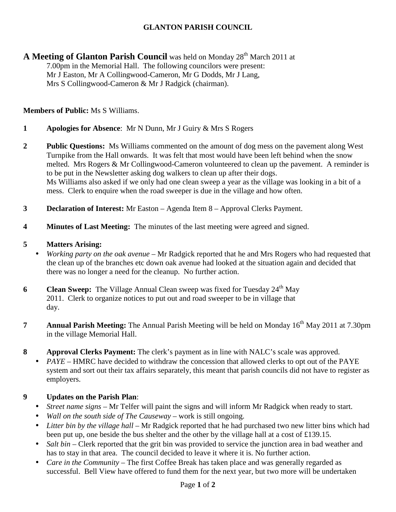## **GLANTON PARISH COUNCIL**

**A Meeting of Glanton Parish Council** was held on Monday 28<sup>th</sup> March 2011 at 7.00pm in the Memorial Hall. The following councilors were present: Mr J Easton, Mr A Collingwood-Cameron, Mr G Dodds, Mr J Lang, Mrs S Collingwood-Cameron & Mr J Radgick (chairman).

**Members of Public:** Ms S Williams.

**1 Apologies for Absence**: Mr N Dunn, Mr J Guiry & Mrs S Rogers

**2 Public Questions:** Ms Williams commented on the amount of dog mess on the pavement along West Turnpike from the Hall onwards. It was felt that most would have been left behind when the snow melted. Mrs Rogers & Mr Collingwood-Cameron volunteered to clean up the pavement. A reminder is to be put in the Newsletter asking dog walkers to clean up after their dogs. Ms Williams also asked if we only had one clean sweep a year as the village was looking in a bit of a mess.Clerk to enquire when the road sweeper is due in the village and how often.

- **3 Declaration of Interest:** Mr Easton Agenda Item 8 Approval Clerks Payment.
- **4 Minutes of Last Meeting:** The minutes of the last meeting were agreed and signed.

#### **5 Matters Arising:**

- *Working party on the oak avenue –* Mr Radgick reported that he and Mrs Rogers who had requested that the clean up of the branches etc down oak avenue had looked at the situation again and decided that there was no longer a need for the cleanup. No further action.
- **6 Clean Sweep:** The Village Annual Clean sweep was fixed for Tuesday 24<sup>th</sup> May 2011. Clerk to organize notices to put out and road sweeper to be in village that day.
- **7** Annual Parish Meeting: The Annual Parish Meeting will be held on Monday 16<sup>th</sup> May 2011 at 7.30pm in the village Memorial Hall.
- **8 Approval Clerks Payment:** The clerk's payment as in line with NALC's scale was approved.
	- *PAYE –* HMRC have decided to withdraw the concession that allowed clerks to opt out of the PAYE system and sort out their tax affairs separately, this meant that parish councils did not have to register as employers.

#### **9 Updates on the Parish Plan**:

- *Street name signs* Mr Telfer will paint the signs and will inform Mr Radgick when ready to start.
- *Wall on the south side of The Causeway* work is still ongoing.
- *Litter bin by the village hall* Mr Radgick reported that he had purchased two new litter bins which had been put up, one beside the bus shelter and the other by the village hall at a cost of £139.15.
- *Salt bin –* Clerk reported that the grit bin was provided to service the junction area in bad weather and has to stay in that area. The council decided to leave it where it is. No further action.
- *Care in the Community* The first Coffee Break has taken place and was generally regarded as successful. Bell View have offered to fund them for the next year, but two more will be undertaken